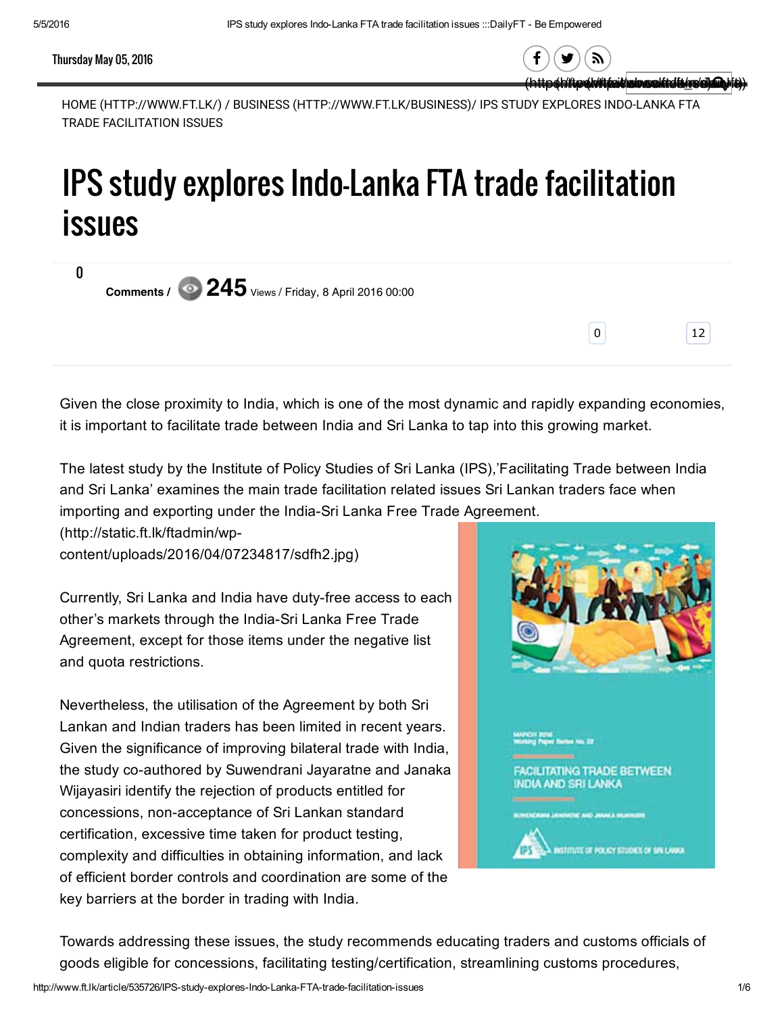## Thursday May 05, 2016

0

(http://tww.thttpaid/edropolitie/tw Q,

0 12

57

HOME [\(HTTP://WWW.FT.LK/\)](http://www.ft.lk/) / BUSINESS [\(HTTP://WWW.FT.LK/BUSINESS\)/](http://www.ft.lk/business) IPS STUDY EXPLORES INDO-LANKA FTA TRADE FACILITATION ISSUES

## IPS study explores Indo-Lanka FTA trade facilitation issues

Comments /  $\odot$  245 <sub>Views</sub> / Friday, 8 April 2016 00:00

Given the close proximity to India, which is one of the most dynamic and rapidly expanding economies, it is important to facilitate trade between India and Sri Lanka to tap into this growing market.

The latest study by the Institute of Policy Studies of Sri Lanka (IPS),'Facilitating Trade between India and Sri Lanka' examines the main trade facilitation related issues Sri Lankan traders face when importing and exporting under the India-Sri Lanka Free Trade Agreement.

(http://static.ft.lk/ftadmin/wp[content/uploads/2016/04/07234817/sdfh2.jpg\)](http://static.ft.lk/ftadmin/wp-content/uploads/2016/04/07234817/sdfh2.jpg)

Currently, Sri Lanka and India have duty-free access to each other's markets through the India-Sri Lanka Free Trade Agreement, except for those items under the negative list and quota restrictions.

Nevertheless, the utilisation of the Agreement by both Sri Lankan and Indian traders has been limited in recent years. Given the significance of improving bilateral trade with India, the study co-authored by Suwendrani Jayaratne and Janaka Wijayasiri identify the rejection of products entitled for concessions, non-acceptance of Sri Lankan standard certification, excessive time taken for product testing, complexity and difficulties in obtaining information, and lack of efficient border controls and coordination are some of the key barriers at the border in trading with India.



Towards addressing these issues, the study recommends educating traders and customs officials of goods eligible for concessions, facilitating testing/certification, streamlining customs procedures,